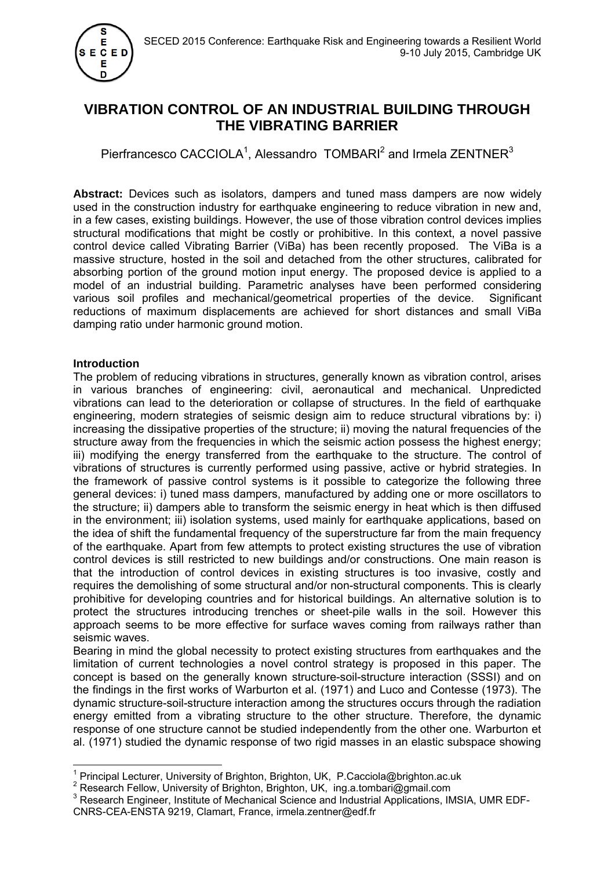

# **VIBRATION CONTROL OF AN INDUSTRIAL BUILDING THROUGH THE VIBRATING BARRIER**

Pierfrancesco CACCIOLA<sup>1</sup>, Alessandro TOMBARI<sup>2</sup> and Irmela ZENTNER<sup>3</sup>

**Abstract:** Devices such as isolators, dampers and tuned mass dampers are now widely used in the construction industry for earthquake engineering to reduce vibration in new and, in a few cases, existing buildings. However, the use of those vibration control devices implies structural modifications that might be costly or prohibitive. In this context, a novel passive control device called Vibrating Barrier (ViBa) has been recently proposed. The ViBa is a massive structure, hosted in the soil and detached from the other structures, calibrated for absorbing portion of the ground motion input energy. The proposed device is applied to a model of an industrial building. Parametric analyses have been performed considering various soil profiles and mechanical/geometrical properties of the device. Significant reductions of maximum displacements are achieved for short distances and small ViBa damping ratio under harmonic ground motion.

# **Introduction**

The problem of reducing vibrations in structures, generally known as vibration control, arises in various branches of engineering: civil, aeronautical and mechanical. Unpredicted vibrations can lead to the deterioration or collapse of structures. In the field of earthquake engineering, modern strategies of seismic design aim to reduce structural vibrations by: i) increasing the dissipative properties of the structure; ii) moving the natural frequencies of the structure away from the frequencies in which the seismic action possess the highest energy; iii) modifying the energy transferred from the earthquake to the structure. The control of vibrations of structures is currently performed using passive, active or hybrid strategies. In the framework of passive control systems is it possible to categorize the following three general devices: i) tuned mass dampers, manufactured by adding one or more oscillators to the structure; ii) dampers able to transform the seismic energy in heat which is then diffused in the environment; iii) isolation systems, used mainly for earthquake applications, based on the idea of shift the fundamental frequency of the superstructure far from the main frequency of the earthquake. Apart from few attempts to protect existing structures the use of vibration control devices is still restricted to new buildings and/or constructions. One main reason is that the introduction of control devices in existing structures is too invasive, costly and requires the demolishing of some structural and/or non-structural components. This is clearly prohibitive for developing countries and for historical buildings. An alternative solution is to protect the structures introducing trenches or sheet-pile walls in the soil. However this approach seems to be more effective for surface waves coming from railways rather than seismic waves.

Bearing in mind the global necessity to protect existing structures from earthquakes and the limitation of current technologies a novel control strategy is proposed in this paper. The concept is based on the generally known structure-soil-structure interaction (SSSI) and on the findings in the first works of Warburton et al. (1971) and Luco and Contesse (1973). The dynamic structure-soil-structure interaction among the structures occurs through the radiation energy emitted from a vibrating structure to the other structure. Therefore, the dynamic response of one structure cannot be studied independently from the other one. Warburton et al. (1971) studied the dynamic response of two rigid masses in an elastic subspace showing

 $\overline{a}$ <sup>1</sup> Principal Lecturer, University of Brighton, Brighton, UK, P.Cacciola@brighton.ac.uk<br><sup>2</sup> Bosearch Follow, University of Brighton, Brighton, UK, ing a temberi@gmoil.com

Research Fellow, University of Brighton, Brighton, UK, ing.a.tombari@gmail.com 3

<sup>&</sup>lt;sup>3</sup> Research Engineer, Institute of Mechanical Science and Industrial Applications, IMSIA, UMR EDF-CNRS-CEA-ENSTA 9219, Clamart, France, irmela.zentner@edf.fr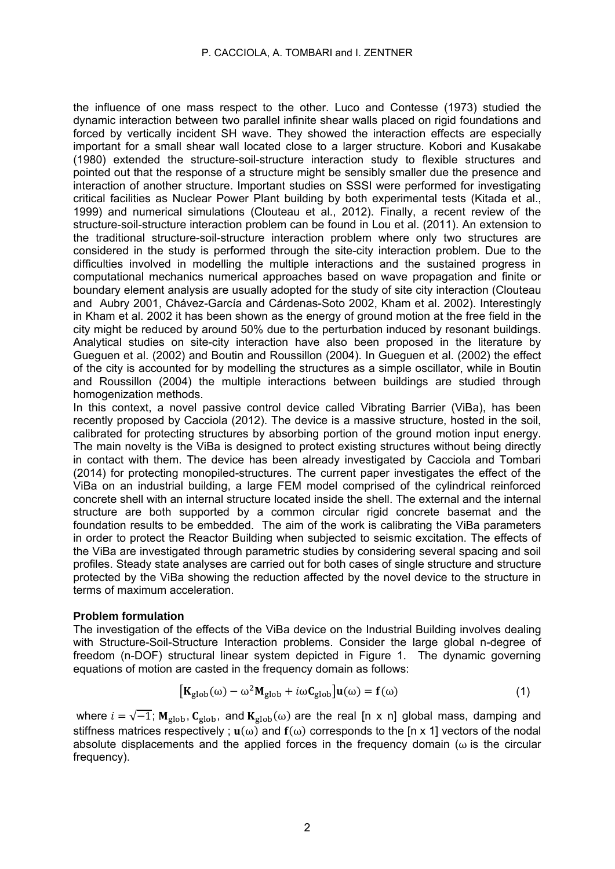the influence of one mass respect to the other. Luco and Contesse (1973) studied the dynamic interaction between two parallel infinite shear walls placed on rigid foundations and forced by vertically incident SH wave. They showed the interaction effects are especially important for a small shear wall located close to a larger structure. Kobori and Kusakabe (1980) extended the structure-soil-structure interaction study to flexible structures and pointed out that the response of a structure might be sensibly smaller due the presence and interaction of another structure. Important studies on SSSI were performed for investigating critical facilities as Nuclear Power Plant building by both experimental tests (Kitada et al., 1999) and numerical simulations (Clouteau et al., 2012). Finally, a recent review of the structure-soil-structure interaction problem can be found in Lou et al. (2011). An extension to the traditional structure-soil-structure interaction problem where only two structures are considered in the study is performed through the site-city interaction problem. Due to the difficulties involved in modelling the multiple interactions and the sustained progress in computational mechanics numerical approaches based on wave propagation and finite or boundary element analysis are usually adopted for the study of site city interaction (Clouteau and Aubry 2001, Chávez-García and Cárdenas-Soto 2002, Kham et al. 2002). Interestingly in Kham et al. 2002 it has been shown as the energy of ground motion at the free field in the city might be reduced by around 50% due to the perturbation induced by resonant buildings. Analytical studies on site-city interaction have also been proposed in the literature by Gueguen et al. (2002) and Boutin and Roussillon (2004). In Gueguen et al. (2002) the effect of the city is accounted for by modelling the structures as a simple oscillator, while in Boutin and Roussillon (2004) the multiple interactions between buildings are studied through homogenization methods.

In this context, a novel passive control device called Vibrating Barrier (ViBa), has been recently proposed by Cacciola (2012). The device is a massive structure, hosted in the soil, calibrated for protecting structures by absorbing portion of the ground motion input energy. The main novelty is the ViBa is designed to protect existing structures without being directly in contact with them. The device has been already investigated by Cacciola and Tombari (2014) for protecting monopiled-structures. The current paper investigates the effect of the ViBa on an industrial building, a large FEM model comprised of the cylindrical reinforced concrete shell with an internal structure located inside the shell. The external and the internal structure are both supported by a common circular rigid concrete basemat and the foundation results to be embedded. The aim of the work is calibrating the ViBa parameters in order to protect the Reactor Building when subjected to seismic excitation. The effects of the ViBa are investigated through parametric studies by considering several spacing and soil profiles. Steady state analyses are carried out for both cases of single structure and structure protected by the ViBa showing the reduction affected by the novel device to the structure in terms of maximum acceleration.

# **Problem formulation**

The investigation of the effects of the ViBa device on the Industrial Building involves dealing with Structure-Soil-Structure Interaction problems. Consider the large global n-degree of freedom (n-DOF) structural linear system depicted in Figure 1. The dynamic governing equations of motion are casted in the frequency domain as follows:

$$
\left[\mathbf{K}_{\text{glob}}(\omega) - \omega^2 \mathbf{M}_{\text{glob}} + i\omega \mathbf{C}_{\text{glob}}\right] \mathbf{u}(\omega) = \mathbf{f}(\omega) \tag{1}
$$

where  $i = \sqrt{-1}$ ;  $M_{\text{glob}}$ ,  $C_{\text{glob}}$ , and  $K_{\text{glob}}(\omega)$  are the real [n x n] global mass, damping and stiffness matrices respectively ;  $\mathbf{u}(\omega)$  and  $\mathbf{f}(\omega)$  corresponds to the [n x 1] vectors of the nodal absolute displacements and the applied forces in the frequency domain ( $\omega$  is the circular frequency).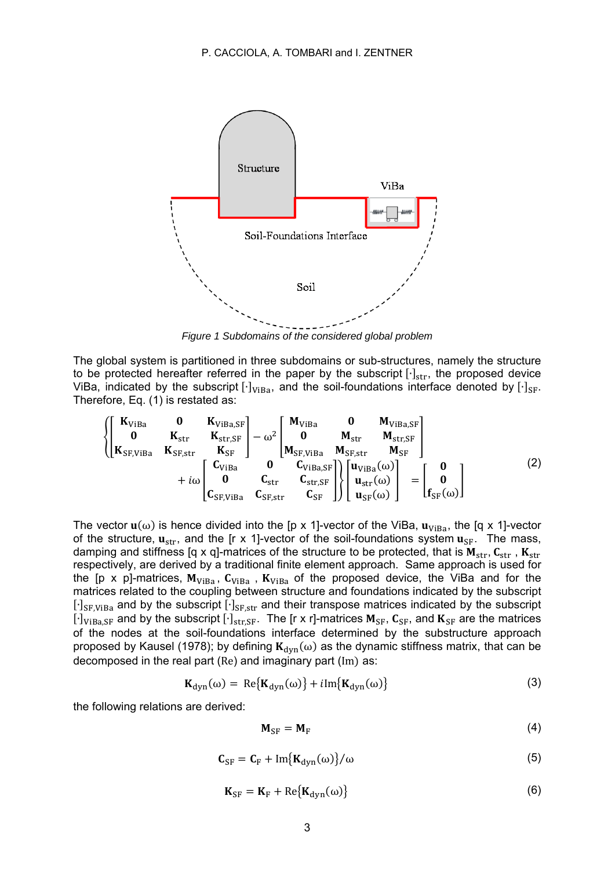

*Figure 1 Subdomains of the considered global problem* 

The global system is partitioned in three subdomains or sub-structures, namely the structure to be protected hereafter referred in the paper by the subscript  $[·]_{str}$ , the proposed device ViBa, indicated by the subscript  $[·]_{ViBa}$ , and the soil-foundations interface denoted by  $[·]_{SF}$ . Therefore, Eq. (1) is restated as:

$$
\begin{Bmatrix}\nK_{ViBa} & 0 & K_{ViBa, SF} \\
0 & K_{str} & K_{str, SF} \\
K_{SF, ViBa} & K_{SF, Str} & K_{SF}\n\end{Bmatrix} - \omega^2\n\begin{bmatrix}\nM_{ViBa} & 0 & M_{ViBa, SF} \\
0 & M_{str} & M_{str, SF} \\
M_{SF, ViBa} & M_{SF, Str} & M_{SF}\n\end{bmatrix} + i\omega\n\begin{bmatrix}\nC_{ViBa} & 0 & C_{ViBa, SF} \\
0 & C_{str} & C_{str, SF} \\
C_{SF, ViBa} & C_{SF, Str} & C_{SF}\n\end{bmatrix}\n\begin{bmatrix}\nu_{ViBa}(\omega) \\
u_{str}(\omega) \\
u_{sr}(\omega)\n\end{bmatrix} =\n\begin{bmatrix}\n0 \\
0 \\
f_{SF}(\omega)\n\end{bmatrix}
$$
\n(2)

The vector  $\mathbf{u}(\omega)$  is hence divided into the [p x 1]-vector of the ViBa,  $\mathbf{u}_{\text{ViBa}}$ , the [q x 1]-vector of the structure,  $\mathbf{u}_{str}$ , and the [r x 1]-vector of the soil-foundations system  $\mathbf{u}_{SF}$ . The mass, damping and stiffness [q x q]-matrices of the structure to be protected, that is  $M_{str}$ ,  $C_{str}$ ,  $K_{str}$ respectively, are derived by a traditional finite element approach. Same approach is used for the [p x p]-matrices,  $M_{VIBa}$ ,  $C_{VIBa}$ ,  $K_{VIBa}$  of the proposed device, the ViBa and for the matrices related to the coupling between structure and foundations indicated by the subscript l⋅J<sub>SF,ViBa</sub> and by the subscript [⋅]<sub>SF,str</sub> and their transpose matrices indicated by the subscript  $[·]_{ViBa,SF}$  and by the subscript  $[·]_{str,SF}$ . The [r x r]-matrices  $M_{SF}$ ,  $C_{SF}$ , and  $K_{SF}$  are the matrices of the nodes at the soil-foundations interface determined by the substructure approach proposed by Kausel (1978); by defining  $K_{dyn}(\omega)$  as the dynamic stiffness matrix, that can be decomposed in the real part (Re) and imaginary part (Im) as:

$$
\mathbf{K}_{\text{dyn}}(\omega) = \text{Re}\{\mathbf{K}_{\text{dyn}}(\omega)\} + i\text{Im}\{\mathbf{K}_{\text{dyn}}(\omega)\}\tag{3}
$$

the following relations are derived:

$$
M_{SF} = M_F \tag{4}
$$

$$
C_{SF} = C_F + Im{K_{dyn}(\omega)}/\omega
$$
\n(5)

$$
\mathbf{K}_{\rm SF} = \mathbf{K}_{\rm F} + \text{Re}\{\mathbf{K}_{\rm dyn}(\omega)\}\tag{6}
$$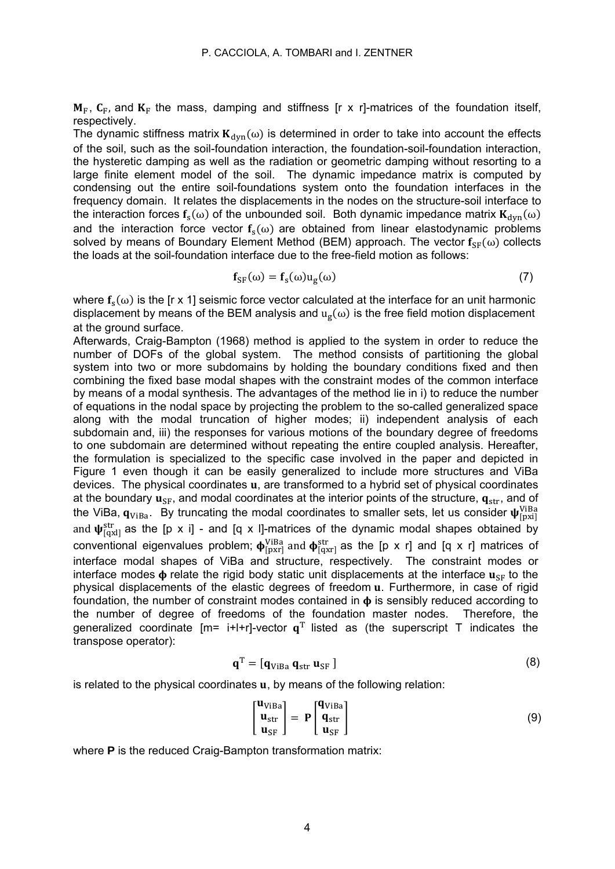$M_F$ ,  $C_F$ , and  $K_F$  the mass, damping and stiffness [r x r]-matrices of the foundation itself, respectively.

The dynamic stiffness matrix  $K_{dyn}(\omega)$  is determined in order to take into account the effects of the soil, such as the soil-foundation interaction, the foundation-soil-foundation interaction, the hysteretic damping as well as the radiation or geometric damping without resorting to a large finite element model of the soil. The dynamic impedance matrix is computed by condensing out the entire soil-foundations system onto the foundation interfaces in the frequency domain. It relates the displacements in the nodes on the structure-soil interface to the interaction forces  $f_s(\omega)$  of the unbounded soil. Both dynamic impedance matrix  $K_{\text{dyn}}(\omega)$ and the interaction force vector  $f_s(\omega)$  are obtained from linear elastodynamic problems solved by means of Boundary Element Method (BEM) approach. The vector  $f_{SE}(\omega)$  collects the loads at the soil-foundation interface due to the free-field motion as follows:

$$
\mathbf{f}_{SF}(\omega) = \mathbf{f}_s(\omega) u_g(\omega) \tag{7}
$$

where  $f_s(\omega)$  is the [r x 1] seismic force vector calculated at the interface for an unit harmonic displacement by means of the BEM analysis and  $u_{\sigma}(\omega)$  is the free field motion displacement at the ground surface.

Afterwards, Craig-Bampton (1968) method is applied to the system in order to reduce the number of DOFs of the global system. The method consists of partitioning the global system into two or more subdomains by holding the boundary conditions fixed and then combining the fixed base modal shapes with the constraint modes of the common interface by means of a modal synthesis. The advantages of the method lie in i) to reduce the number of equations in the nodal space by projecting the problem to the so-called generalized space along with the modal truncation of higher modes; ii) independent analysis of each subdomain and, iii) the responses for various motions of the boundary degree of freedoms to one subdomain are determined without repeating the entire coupled analysis. Hereafter, the formulation is specialized to the specific case involved in the paper and depicted in Figure 1 even though it can be easily generalized to include more structures and ViBa devices. The physical coordinates **u**, are transformed to a hybrid set of physical coordinates at the boundary  $\mathbf{u}_{SF}$ , and modal coordinates at the interior points of the structure,  $\mathbf{q}_{str}$ , and of the ViBa,  $\mathbf{q}_{\text{ViBa}}$ . By truncating the modal coordinates to smaller sets, let us consider  $\mathbf{\psi}^{\text{ViBa}}_{\text{[pxi]}}$ and  $\psi_{\text{qax}}^{\text{str}}$  as the [p x i] - and [q x I]-matrices of the dynamic modal shapes obtained by conventional eigenvalues problem;  $\phi_{\text{[pxr]}}^{\text{VIBa}}$  and  $\phi_{\text{[qxr]}}^{\text{str}}$  as the [p x r] and [q x r] matrices of interface modal shapes of ViBa and structure, respectively. The constraint modes or interface modes  $\phi$  relate the rigid body static unit displacements at the interface  $\mathbf{u}_{\text{SF}}$  to the physical displacements of the elastic degrees of freedom **u**. Furthermore, in case of rigid foundation, the number of constraint modes contained in  $\phi$  is sensibly reduced according to the number of degree of freedoms of the foundation master nodes. Therefore, the generalized coordinate  $Im = i+1+r$ -vector  $a<sup>T</sup>$  listed as (the superscript T indicates the transpose operator):

$$
\mathbf{q}^{\mathrm{T}} = [\mathbf{q}_{\mathrm{ViBa}} \, \mathbf{q}_{\mathrm{str}} \, \mathbf{u}_{\mathrm{SF}} ] \tag{8}
$$

is related to the physical coordinates **, by means of the following relation:** 

$$
\begin{bmatrix} \mathbf{u}_{\text{VIBa}} \\ \mathbf{u}_{\text{str}} \\ \mathbf{u}_{\text{SF}} \end{bmatrix} = \mathbf{P} \begin{bmatrix} \mathbf{q}_{\text{VIBa}} \\ \mathbf{q}_{\text{str}} \\ \mathbf{u}_{\text{SF}} \end{bmatrix}
$$
(9)

where **P** is the reduced Craig-Bampton transformation matrix: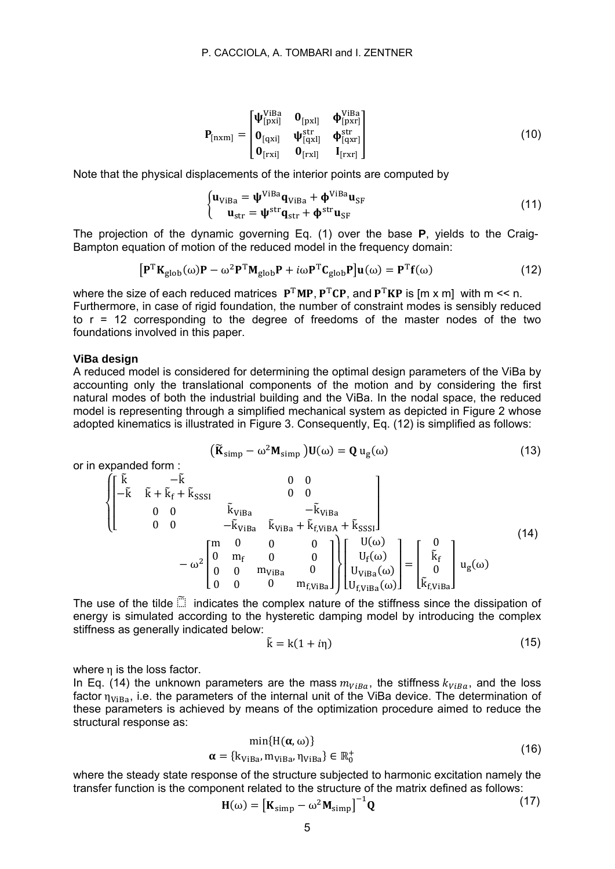$$
\mathbf{P}_{\text{[nxm]}} = \begin{bmatrix} \mathbf{\Psi}_{\text{[pxi]}}^{\text{VIBa}} & \mathbf{0}_{\text{[pxl]}} & \mathbf{\Phi}_{\text{[pxr]}}^{\text{VIBa}} \\ \mathbf{0}_{\text{[qxi]}} & \mathbf{\Psi}_{\text{[qxl]}}^{\text{str}} & \mathbf{\Phi}_{\text{[qxr]}}^{\text{str}} \\ \mathbf{0}_{\text{[rxi]}} & \mathbf{0}_{\text{[rxl]}} & \mathbf{I}_{\text{[rxr]}} \end{bmatrix}
$$
(10)

Note that the physical displacements of the interior points are computed by

$$
\begin{cases} \mathbf{u}_{\text{ViBa}} = \mathbf{\Psi}^{\text{ViBa}} \mathbf{q}_{\text{ViBa}} + \mathbf{\Phi}^{\text{ViBa}} \mathbf{u}_{\text{SF}} \\ \mathbf{u}_{\text{str}} = \mathbf{\Psi}^{\text{str}} \mathbf{q}_{\text{str}} + \mathbf{\Phi}^{\text{str}} \mathbf{u}_{\text{SF}} \end{cases}
$$
(11)

The projection of the dynamic governing Eq. (1) over the base **P**, yields to the Craig-Bampton equation of motion of the reduced model in the frequency domain:

$$
[\mathbf{P}^{\mathrm{T}}\mathbf{K}_{\mathrm{glob}}(\omega)\mathbf{P} - \omega^2 \mathbf{P}^{\mathrm{T}}\mathbf{M}_{\mathrm{glob}}\mathbf{P} + i\omega \mathbf{P}^{\mathrm{T}}\mathbf{C}_{\mathrm{glob}}\mathbf{P}]\mathbf{u}(\omega) = \mathbf{P}^{\mathrm{T}}\mathbf{f}(\omega)
$$
(12)

where the size of each reduced matrices  $P^{T}MP$ ,  $P^{T}CP$ , and  $P^{T}KP$  is [m x m] with m << n. Furthermore, in case of rigid foundation, the number of constraint modes is sensibly reduced to  $r = 12$  corresponding to the degree of freedoms of the master nodes of the two foundations involved in this paper.

#### **ViBa design**

A reduced model is considered for determining the optimal design parameters of the ViBa by accounting only the translational components of the motion and by considering the first natural modes of both the industrial building and the ViBa. In the nodal space, the reduced model is representing through a simplified mechanical system as depicted in Figure 2 whose adopted kinematics is illustrated in Figure 3. Consequently, Eq. (12) is simplified as follows:

$$
\left(\widetilde{\mathbf{K}}_{\text{simp}} - \omega^2 \mathbf{M}_{\text{simp}}\right) \mathbf{U}(\omega) = \mathbf{Q} \mathbf{u}_g(\omega) \tag{13}
$$

or in expanded form :

$$
\begin{cases}\n\begin{bmatrix}\n\tilde{k} & -\tilde{k} & 0 & 0 \\
-\tilde{k} & \tilde{k} + \tilde{k}_{f} + \tilde{k}_{SSSI} & 0 & 0 \\
0 & 0 & -\tilde{k}_{ViBa} & -\tilde{k}_{ViBa} \\
0 & 0 & -\tilde{k}_{ViBa} & \tilde{k}_{ViBa} + \tilde{k}_{fViBA} + \tilde{k}_{SSSI}\n\end{bmatrix} \\
& -\omega^{2}\begin{bmatrix}\nm & 0 & 0 & 0 \\
0 & m_{f} & 0 & 0 \\
0 & 0 & m_{ViBa} & 0 \\
0 & 0 & 0 & m_{fViBa}\n\end{bmatrix}\n\begin{bmatrix}\nU(\omega) \\
U_{f}(\omega) \\
U_{fViBa}(\omega)\n\end{bmatrix} = \begin{bmatrix}\n0 \\
\tilde{k}_{f} \\
0 \\
\tilde{k}_{fViBa}\n\end{bmatrix} u_{g}(\omega)\n\end{cases}
$$
\n(14)

The use of the tilde  $\tilde{\mathbb{S}}$  indicates the complex nature of the stiffness since the dissipation of energy is simulated according to the hysteretic damping model by introducing the complex stiffness as generally indicated below:

$$
\tilde{\mathbf{k}} = \mathbf{k}(1 + i\eta) \tag{15}
$$

where  $\eta$  is the loss factor.

In Eq. (14) the unknown parameters are the mass  $m_{VIBa}$ , the stiffness  $k_{VIBa}$ , and the loss factor  $\eta_{V_{\rm IRa}}$ , i.e. the parameters of the internal unit of the ViBa device. The determination of these parameters is achieved by means of the optimization procedure aimed to reduce the structural response as:

$$
\min\{H(\alpha,\omega)\}\
$$
  
\n
$$
\alpha = \{k_{ViBa}, m_{ViBa}, \eta_{ViBa}\} \in \mathbb{R}_0^+\
$$
\n(16)

where the steady state response of the structure subjected to harmonic excitation namely the transfer function is the component related to the structure of the matrix defined as follows:

$$
\mathbf{H}(\omega) = \left[\mathbf{K}_{\text{simp}} - \omega^2 \mathbf{M}_{\text{simp}}\right]^{-1} \mathbf{Q} \tag{17}
$$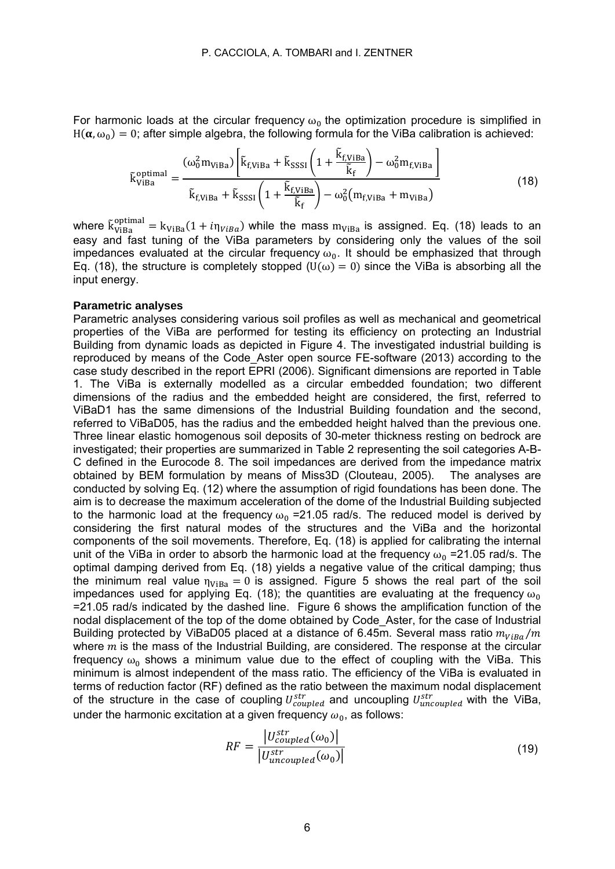For harmonic loads at the circular frequency  $\omega_0$  the optimization procedure is simplified in  $H(\alpha, \omega_0) = 0$ ; after simple algebra, the following formula for the ViBa calibration is achieved:

$$
\tilde{\mathbf{k}}_{\text{ViBa}}^{\text{optimal}} = \frac{(\omega_0^2 \mathbf{m}_{\text{ViBa}}) \left[ \tilde{\mathbf{k}}_{\text{f,ViBa}} + \tilde{\mathbf{k}}_{\text{SSSI}} \left( 1 + \frac{\tilde{\mathbf{k}}_{\text{f,ViBa}}}{\tilde{\mathbf{k}}_{\text{f}}} \right) - \omega_0^2 \mathbf{m}_{\text{f,ViBa}} \right]}{\tilde{\mathbf{k}}_{\text{f,ViBa}} + \tilde{\mathbf{k}}_{\text{SSSI}} \left( 1 + \frac{\tilde{\mathbf{k}}_{\text{f,ViBa}}}{\tilde{\mathbf{k}}_{\text{f}}} \right) - \omega_0^2 (\mathbf{m}_{\text{f,ViBa}} + \mathbf{m}_{\text{ViBa}})
$$
\n(18)

where  $\tilde{k}^{\text{optimal}}_{\text{Viba}} = k_{\text{Viba}}(1 + i\eta_{\text{Viba}})$  while the mass  $m_{\text{Viba}}$  is assigned. Eq. (18) leads to an easy and fast tuning of the ViBa parameters by considering only the values of the soil impedances evaluated at the circular frequency  $\omega_0$ . It should be emphasized that through Eq. (18), the structure is completely stopped (U( $\omega$ ) = 0) since the ViBa is absorbing all the input energy.

#### **Parametric analyses**

Parametric analyses considering various soil profiles as well as mechanical and geometrical properties of the ViBa are performed for testing its efficiency on protecting an Industrial Building from dynamic loads as depicted in Figure 4. The investigated industrial building is reproduced by means of the Code\_Aster open source FE-software (2013) according to the case study described in the report EPRI (2006). Significant dimensions are reported in Table 1. The ViBa is externally modelled as a circular embedded foundation; two different dimensions of the radius and the embedded height are considered, the first, referred to ViBaD1 has the same dimensions of the Industrial Building foundation and the second, referred to ViBaD05, has the radius and the embedded height halved than the previous one. Three linear elastic homogenous soil deposits of 30-meter thickness resting on bedrock are investigated; their properties are summarized in Table 2 representing the soil categories A-B-C defined in the Eurocode 8. The soil impedances are derived from the impedance matrix obtained by BEM formulation by means of Miss3D (Clouteau, 2005). The analyses are conducted by solving Eq. (12) where the assumption of rigid foundations has been done. The aim is to decrease the maximum acceleration of the dome of the Industrial Building subjected to the harmonic load at the frequency  $\omega_0$  =21.05 rad/s. The reduced model is derived by considering the first natural modes of the structures and the ViBa and the horizontal components of the soil movements. Therefore, Eq. (18) is applied for calibrating the internal unit of the ViBa in order to absorb the harmonic load at the frequency  $\omega_0$  =21.05 rad/s. The optimal damping derived from Eq. (18) yields a negative value of the critical damping; thus the minimum real value  $\eta_{ViBa} = 0$  is assigned. Figure 5 shows the real part of the soil impedances used for applying Eq. (18); the quantities are evaluating at the frequency  $\omega_0$ =21.05 rad/s indicated by the dashed line. Figure 6 shows the amplification function of the nodal displacement of the top of the dome obtained by Code\_Aster, for the case of Industrial Building protected by ViBaD05 placed at a distance of 6.45m. Several mass ratio  $m_{VIBa}/m$ where  $m$  is the mass of the Industrial Building, are considered. The response at the circular frequency  $\omega_0$  shows a minimum value due to the effect of coupling with the ViBa. This minimum is almost independent of the mass ratio. The efficiency of the ViBa is evaluated in terms of reduction factor (RF) defined as the ratio between the maximum nodal displacement of the structure in the case of coupling  $U^{str}_{coupled}$  and uncoupling  $U^{str}_{uncoupled}$  with the ViBa, under the harmonic excitation at a given frequency  $\omega_0$ , as follows:

$$
RF = \frac{|U_{coupled}^{str}(\omega_0)|}{|U_{uncoupled}^{str}(\omega_0)|}
$$
(19)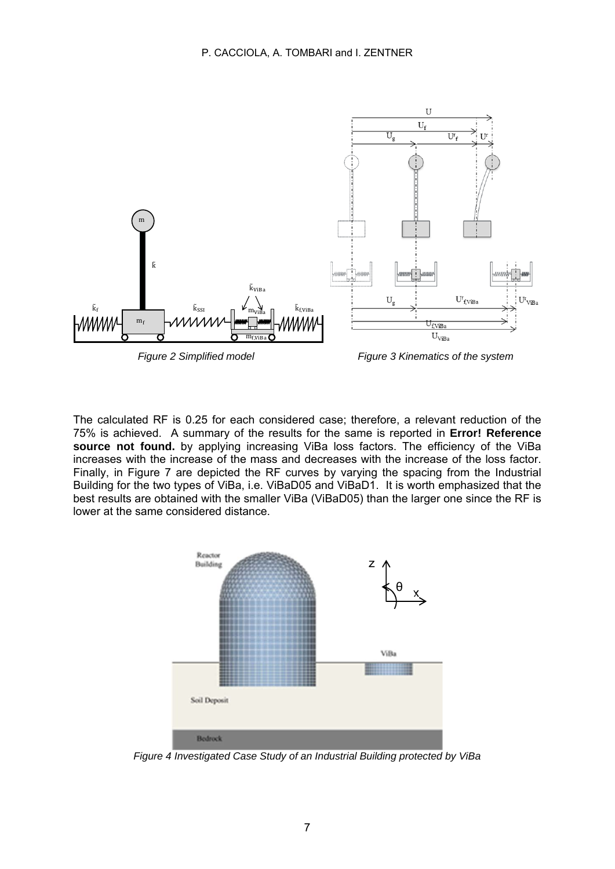

*Figure 2 Simplified model Figure 3 Kinematics of the system* 

The calculated RF is 0.25 for each considered case; therefore, a relevant reduction of the 75% is achieved. A summary of the results for the same is reported in **Error! Reference**  source not found. by applying increasing ViBa loss factors. The efficiency of the ViBa increases with the increase of the mass and decreases with the increase of the loss factor. Finally, in Figure 7 are depicted the RF curves by varying the spacing from the Industrial Building for the two types of ViBa, i.e. ViBaD05 and ViBaD1. It is worth emphasized that the best results are obtained with the smaller ViBa (ViBaD05) than the larger one since the RF is lower at the same considered distance.



*Figure 4 Investigated Case Study of an Industrial Building protected by ViBa*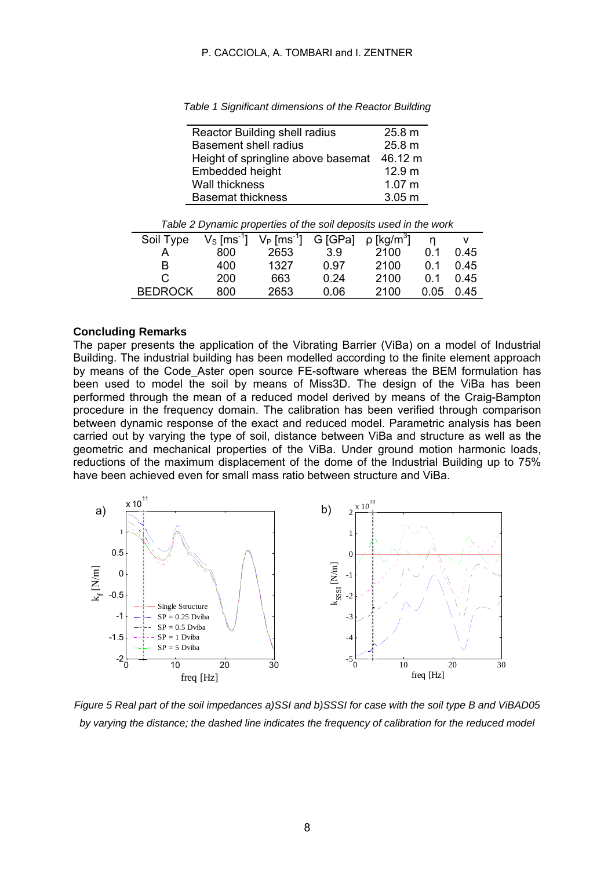# P. CACCIOLA, A. TOMBARI and I. ZENTNER

*Table 1 Significant dimensions of the Reactor Building* 

| Reactor Building shell radius      | 25.8 m  |
|------------------------------------|---------|
| <b>Basement shell radius</b>       | 25.8 m  |
| Height of springline above basemat | 46.12 m |
| Embedded height                    | 12.9 m  |
| Wall thickness                     | 1.07 m  |
| <b>Basemat thickness</b>           | 3.05 m  |

| Table 2 Dynamic properties or the soil deposits ased in the Work |                           |      |      |                                                               |      |      |  |  |
|------------------------------------------------------------------|---------------------------|------|------|---------------------------------------------------------------|------|------|--|--|
| Soil Type                                                        | $V_S$ [ms <sup>-1</sup> ] |      |      | $V_P$ [ms <sup>-1</sup> ] G [GPa] $\rho$ [kg/m <sup>3</sup> ] |      |      |  |  |
|                                                                  | 800                       | 2653 | 3.9  | 2100                                                          | 0.1  | 0.45 |  |  |
| в                                                                | 400                       | 1327 | 0.97 | 2100                                                          | 0 1  | 0.45 |  |  |
| C.                                                               | 200                       | 663  | 0.24 | 2100                                                          | 0 1  | 0.45 |  |  |
| <b>BEDROCK</b>                                                   | 800                       | 2653 | 0.06 | 2100                                                          | 0.05 | 0.45 |  |  |

*Table 2 Dynamic properties of the soil deposits used in the work* 

### **Concluding Remarks**

The paper presents the application of the Vibrating Barrier (ViBa) on a model of Industrial Building. The industrial building has been modelled according to the finite element approach by means of the Code\_Aster open source FE-software whereas the BEM formulation has been used to model the soil by means of Miss3D. The design of the ViBa has been performed through the mean of a reduced model derived by means of the Craig-Bampton procedure in the frequency domain. The calibration has been verified through comparison between dynamic response of the exact and reduced model. Parametric analysis has been carried out by varying the type of soil, distance between ViBa and structure as well as the geometric and mechanical properties of the ViBa. Under ground motion harmonic loads, reductions of the maximum displacement of the dome of the Industrial Building up to 75% have been achieved even for small mass ratio between structure and ViBa.



*Figure 5 Real part of the soil impedances a)SSI and b)SSSI for case with the soil type B and ViBAD05*  by varying the distance; the dashed line indicates the frequency of calibration for the reduced model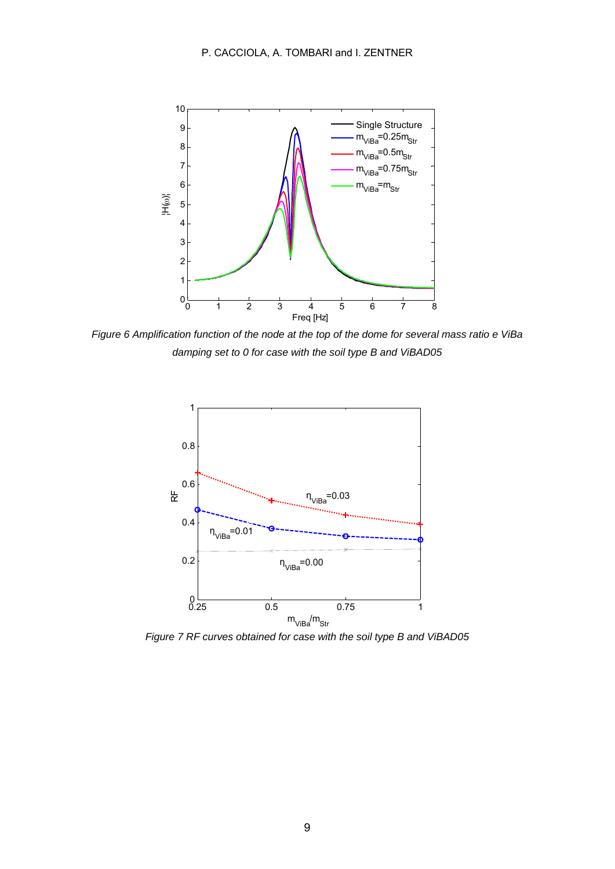

*Figure 6 Amplification function of the node at the top of the dome for several mass ratio e ViBa damping set to 0 for case with the soil type B and ViBAD05* 



*Figure 7 RF curves obtained for case with the soil type B and ViBAD05*